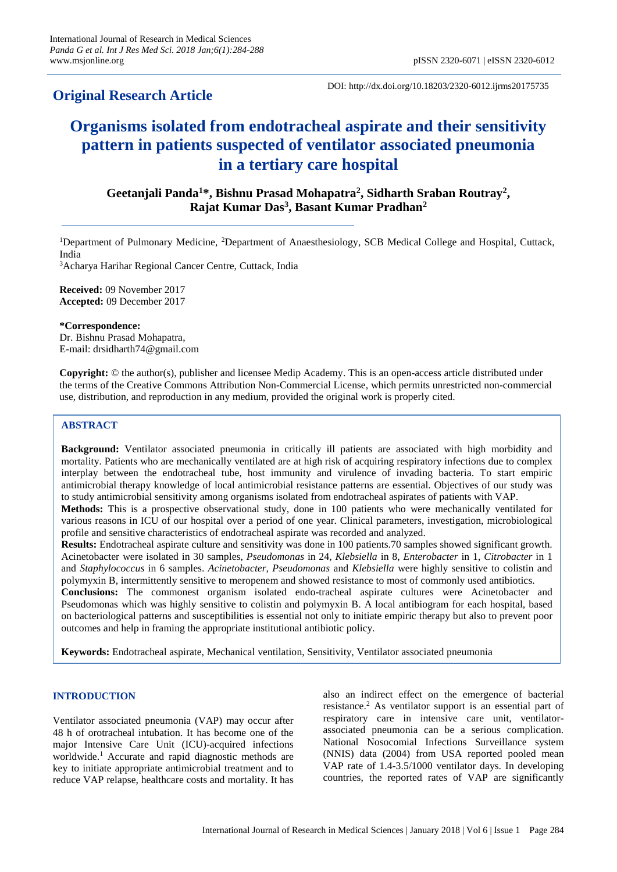# **Original Research Article**

DOI: http://dx.doi.org/10.18203/2320-6012.ijrms20175735

# **Organisms isolated from endotracheal aspirate and their sensitivity pattern in patients suspected of ventilator associated pneumonia in a tertiary care hospital**

**Geetanjali Panda<sup>1</sup>\*, Bishnu Prasad Mohapatra<sup>2</sup> , Sidharth Sraban Routray<sup>2</sup> , Rajat Kumar Das<sup>3</sup> , Basant Kumar Pradhan<sup>2</sup>**

<sup>1</sup>Department of Pulmonary Medicine, <sup>2</sup>Department of Anaesthesiology, SCB Medical College and Hospital, Cuttack, India

<sup>3</sup>Acharya Harihar Regional Cancer Centre, Cuttack, India

**Received:** 09 November 2017 **Accepted:** 09 December 2017

**\*Correspondence:** Dr. Bishnu Prasad Mohapatra, E-mail: drsidharth74@gmail.com

**Copyright:** © the author(s), publisher and licensee Medip Academy. This is an open-access article distributed under the terms of the Creative Commons Attribution Non-Commercial License, which permits unrestricted non-commercial use, distribution, and reproduction in any medium, provided the original work is properly cited.

# **ABSTRACT**

**Background:** Ventilator associated pneumonia in critically ill patients are associated with high morbidity and mortality. Patients who are mechanically ventilated are at high risk of acquiring respiratory infections due to complex interplay between the endotracheal tube, host immunity and virulence of invading bacteria. To start empiric antimicrobial therapy knowledge of local antimicrobial resistance patterns are essential. Objectives of our study was to study antimicrobial sensitivity among organisms isolated from endotracheal aspirates of patients with VAP. **Methods:** This is a prospective observational study, done in 100 patients who were mechanically ventilated for

various reasons in ICU of our hospital over a period of one year. Clinical parameters, investigation, microbiological profile and sensitive characteristics of endotracheal aspirate was recorded and analyzed.

**Results:** Endotracheal aspirate culture and sensitivity was done in 100 patients.70 samples showed significant growth. Acinetobacter were isolated in 30 samples, *Pseudomonas* in 24, *Klebsiella* in 8, *Enterobacter* in 1, *Citrobacter* in 1 and *Staphylococcus* in 6 samples. *Acinetobacter, Pseudomonas* and *Klebsiella* were highly sensitive to colistin and polymyxin B, intermittently sensitive to meropenem and showed resistance to most of commonly used antibiotics.

**Conclusions:** The commonest organism isolated endo-tracheal aspirate cultures were Acinetobacter and Pseudomonas which was highly sensitive to colistin and polymyxin B. A local antibiogram for each hospital, based on bacteriological patterns and susceptibilities is essential not only to initiate empiric therapy but also to prevent poor outcomes and help in framing the appropriate institutional antibiotic policy.

**Keywords:** Endotracheal aspirate, Mechanical ventilation, Sensitivity, Ventilator associated pneumonia

# **INTRODUCTION**

Ventilator associated pneumonia (VAP) may occur after 48 h of orotracheal intubation. It has become one of the major Intensive Care Unit (ICU)-acquired infections worldwide.<sup>1</sup> Accurate and rapid diagnostic methods are key to initiate appropriate antimicrobial treatment and to reduce VAP relapse, healthcare costs and mortality. It has also an indirect effect on the emergence of bacterial resistance.<sup>2</sup> As ventilator support is an essential part of respiratory care in intensive care unit, ventilatorassociated pneumonia can be a serious complication. National Nosocomial Infections Surveillance system (NNIS) data (2004) from USA reported pooled mean VAP rate of 1.4-3.5/1000 ventilator days. In developing countries, the reported rates of VAP are significantly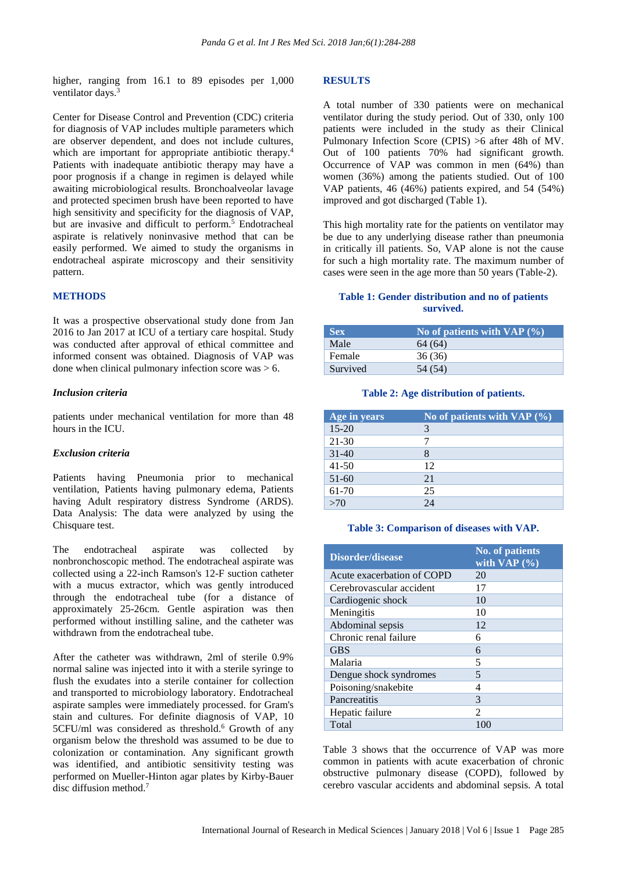higher, ranging from 16.1 to 89 episodes per 1,000 ventilator days.<sup>3</sup>

Center for Disease Control and Prevention (CDC) criteria for diagnosis of VAP includes multiple parameters which are observer dependent, and does not include cultures, which are important for appropriate antibiotic therapy.<sup>4</sup> Patients with inadequate antibiotic therapy may have a poor prognosis if a change in regimen is delayed while awaiting microbiological results. Bronchoalveolar lavage and protected specimen brush have been reported to have high sensitivity and specificity for the diagnosis of VAP, but are invasive and difficult to perform.<sup>5</sup> Endotracheal aspirate is relatively noninvasive method that can be easily performed. We aimed to study the organisms in endotracheal aspirate microscopy and their sensitivity pattern.

#### **METHODS**

It was a prospective observational study done from Jan 2016 to Jan 2017 at ICU of a tertiary care hospital. Study was conducted after approval of ethical committee and informed consent was obtained. Diagnosis of VAP was done when clinical pulmonary infection score was > 6.

#### *Inclusion criteria*

patients under mechanical ventilation for more than 48 hours in the ICU.

#### *Exclusion criteria*

Patients having Pneumonia prior to mechanical ventilation, Patients having pulmonary edema, Patients having Adult respiratory distress Syndrome (ARDS). Data Analysis: The data were analyzed by using the Chisquare test.

The endotracheal aspirate was collected by nonbronchoscopic method. The endotracheal aspirate was collected using a 22-inch Ramson's 12-F suction catheter with a mucus extractor, which was gently introduced through the endotracheal tube (for a distance of approximately 25-26cm. Gentle aspiration was then performed without instilling saline, and the catheter was withdrawn from the endotracheal tube.

After the catheter was withdrawn, 2ml of sterile 0.9% normal saline was injected into it with a sterile syringe to flush the exudates into a sterile container for collection and transported to microbiology laboratory. Endotracheal aspirate samples were immediately processed. for Gram's stain and cultures. For definite diagnosis of VAP, 10 5CFU/ml was considered as threshold.<sup>6</sup> Growth of any organism below the threshold was assumed to be due to colonization or contamination. Any significant growth was identified, and antibiotic sensitivity testing was performed on Mueller-Hinton agar plates by Kirby-Bauer disc diffusion method. 7

#### **RESULTS**

A total number of 330 patients were on mechanical ventilator during the study period. Out of 330, only 100 patients were included in the study as their Clinical Pulmonary Infection Score (CPIS) >6 after 48h of MV. Out of 100 patients 70% had significant growth. Occurrence of VAP was common in men (64%) than women (36%) among the patients studied. Out of 100 VAP patients, 46 (46%) patients expired, and 54 (54%) improved and got discharged (Table 1).

This high mortality rate for the patients on ventilator may be due to any underlying disease rather than pneumonia in critically ill patients. So, VAP alone is not the cause for such a high mortality rate. The maximum number of cases were seen in the age more than 50 years (Table-2).

## **Table 1: Gender distribution and no of patients survived.**

| <b>Sex</b> | No of patients with VAP $(\% )$ |
|------------|---------------------------------|
| Male       | 64 (64)                         |
| Female     | 36(36)                          |
| Survived   | 54 (54)                         |

#### **Table 2: Age distribution of patients.**

| Age in years | No of patients with VAP $(\% )$ |
|--------------|---------------------------------|
| $15 - 20$    | 3                               |
| $21 - 30$    |                                 |
| $31-40$      | 8                               |
| $41 - 50$    | 12                              |
| $51-60$      | 21                              |
| 61-70        | 25                              |
| >70          | 24                              |

#### **Table 3: Comparison of diseases with VAP.**

| Disorder/disease           | <b>No. of patients</b><br>with $VAP(%)$ |
|----------------------------|-----------------------------------------|
| Acute exacerbation of COPD | 20                                      |
| Cerebrovascular accident   | 17                                      |
| Cardiogenic shock          | 10                                      |
| Meningitis                 | 10                                      |
| Abdominal sepsis           | 12                                      |
| Chronic renal failure      | 6                                       |
| <b>GBS</b>                 | 6                                       |
| Malaria                    | 5                                       |
| Dengue shock syndromes     | 5                                       |
| Poisoning/snakebite        | 4                                       |
| Pancreatitis               | 3                                       |
| Hepatic failure            | $\mathfrak{D}$                          |
| Total                      | 100                                     |

Table 3 shows that the occurrence of VAP was more common in patients with acute exacerbation of chronic obstructive pulmonary disease (COPD), followed by cerebro vascular accidents and abdominal sepsis. A total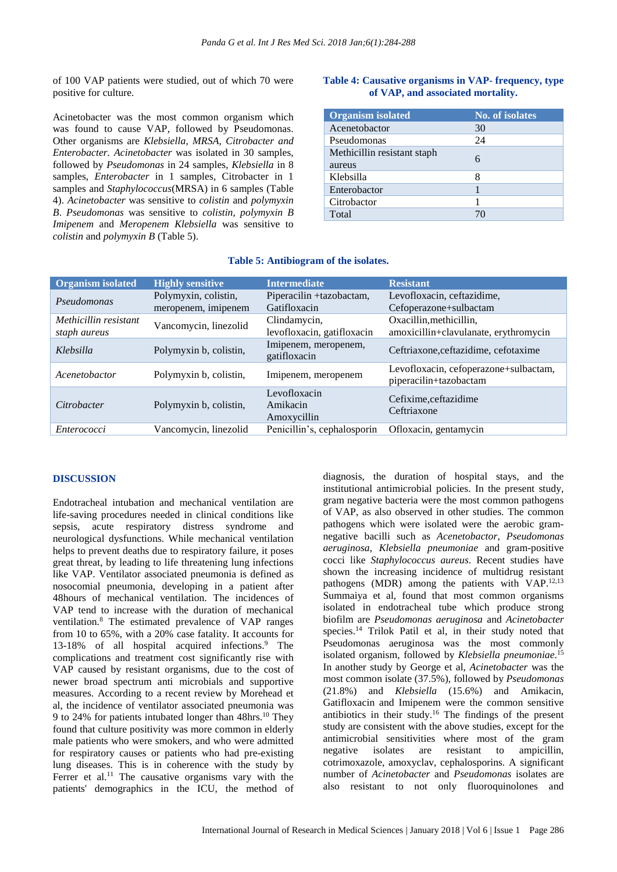of 100 VAP patients were studied, out of which 70 were positive for culture.

Acinetobacter was the most common organism which was found to cause VAP, followed by Pseudomonas. Other organisms are *Klebsiella, MRSA, Citrobacter and Enterobacter. Acinetobacter* was isolated in 30 samples, followed by *Pseudomonas* in 24 samples, *Klebsiella* in 8 samples, *Enterobacter* in 1 samples, Citrobacter in 1 samples and *Staphylococcus*(MRSA) in 6 samples (Table 4). *Acinetobacter* was sensitive to *colistin* and *polymyxin B*. *Pseudomonas* was sensitive to *colistin*, *polymyxin B Imipenem* and *Meropenem Klebsiella* was sensitive to *colistin* and *polymyxin B* (Table 5).

# **Table 4: Causative organisms in VAP- frequency, type of VAP, and associated mortality.**

| <b>Organism isolated</b>              | <b>No. of isolates</b> |
|---------------------------------------|------------------------|
| Acenetobactor                         | 30                     |
| Pseudomonas                           | 24                     |
| Methicillin resistant staph<br>aureus | 6                      |
| Klebsilla                             | 8                      |
| Enterobactor                          |                        |
| Citrobactor                           |                        |
| Total                                 | 70                     |

| <b>Organism isolated</b> | <b>Highly sensitive</b> | <b>Intermediate</b>                  | <b>Resistant</b>                                                |
|--------------------------|-------------------------|--------------------------------------|-----------------------------------------------------------------|
| Pseudomonas              | Polymyxin, colistin,    | Piperacilin +tazobactam,             | Levofloxacin, ceftazidime,                                      |
|                          | meropenem, imipenem     | Gatifloxacin                         | Cefoperazone+sulbactam                                          |
| Methicillin resistant    |                         | Clindamycin,                         | Oxacillin, methicillin,                                         |
| staph aureus             | Vancomycin, linezolid   | levofloxacin, gatifloxacin           | amoxicillin+clavulanate, erythromycin                           |
| Klebsilla                | Polymyxin b, colistin,  | Imipenem, meropenem,<br>gatifloxacin | Ceftriaxone, ceftazidime, cefotaxime                            |
| Acenetobactor            | Polymyxin b, colistin,  | Imipenem, meropenem                  | Levofloxacin, cefoperazone+sulbactam,<br>piperacilin+tazobactam |
| Citrobacter              | Polymyxin b, colistin,  | Levofloxacin                         | Cefixime, ceftazidime<br>Ceftriaxone                            |
|                          |                         | Amikacin                             |                                                                 |
|                          |                         | Amoxycillin                          |                                                                 |
| Enterococci              | Vancomycin, linezolid   | Penicillin's, cephalosporin          | Ofloxacin, gentamycin                                           |

# **Table 5: Antibiogram of the isolates.**

#### **DISCUSSION**

Endotracheal intubation and mechanical ventilation are life-saving procedures needed in clinical conditions like sepsis, acute respiratory distress syndrome and neurological dysfunctions. While mechanical ventilation helps to prevent deaths due to respiratory failure, it poses great threat, by leading to life threatening lung infections like VAP. Ventilator associated pneumonia is defined as nosocomial pneumonia, developing in a patient after 48hours of mechanical ventilation. The incidences of VAP tend to increase with the duration of mechanical ventilation.<sup>8</sup> The estimated prevalence of VAP ranges from 10 to 65%, with a 20% case fatality. It accounts for 13-18% of all hospital acquired infections.<sup>9</sup> The complications and treatment cost significantly rise with VAP caused by resistant organisms, due to the cost of newer broad spectrum anti microbials and supportive measures. According to a recent review by Morehead et al, the incidence of ventilator associated pneumonia was 9 to 24% for patients intubated longer than 48hrs.<sup>10</sup> They found that culture positivity was more common in elderly male patients who were smokers, and who were admitted for respiratory causes or patients who had pre-existing lung diseases. This is in coherence with the study by Ferrer et al.<sup>11</sup> The causative organisms vary with the patients' demographics in the ICU, the method of diagnosis, the duration of hospital stays, and the institutional antimicrobial policies. In the present study, gram negative bacteria were the most common pathogens of VAP, as also observed in other studies. The common pathogens which were isolated were the aerobic gramnegative bacilli such as *Acenetobactor*, *Pseudomonas aeruginosa*, *Klebsiella pneumoniae* and gram-positive cocci like *Staphylococcus aureus*. Recent studies have shown the increasing incidence of multidrug resistant pathogens (MDR) among the patients with VAP.<sup>12,13</sup> Summaiya et al, found that most common organisms isolated in endotracheal tube which produce strong biofilm are *Pseudomonas aeruginosa* and *Acinetobacter* species.<sup>14</sup> Trilok Patil et al, in their study noted that Pseudomonas aeruginosa was the most commonly isolated organism, followed by *Klebsiella pneumoniae*. 15 In another study by George et al, *Acinetobacter* was the most common isolate (37.5%), followed by *Pseudomonas* (21.8%) and *Klebsiella* (15.6%) and Amikacin, Gatifloxacin and Imipenem were the common sensitive antibiotics in their study.<sup>16</sup> The findings of the present study are consistent with the above studies, except for the antimicrobial sensitivities where most of the gram negative isolates are resistant to ampicillin, cotrimoxazole, amoxyclav, cephalosporins. A significant number of *Acinetobacter* and *Pseudomonas* isolates are also resistant to not only fluoroquinolones and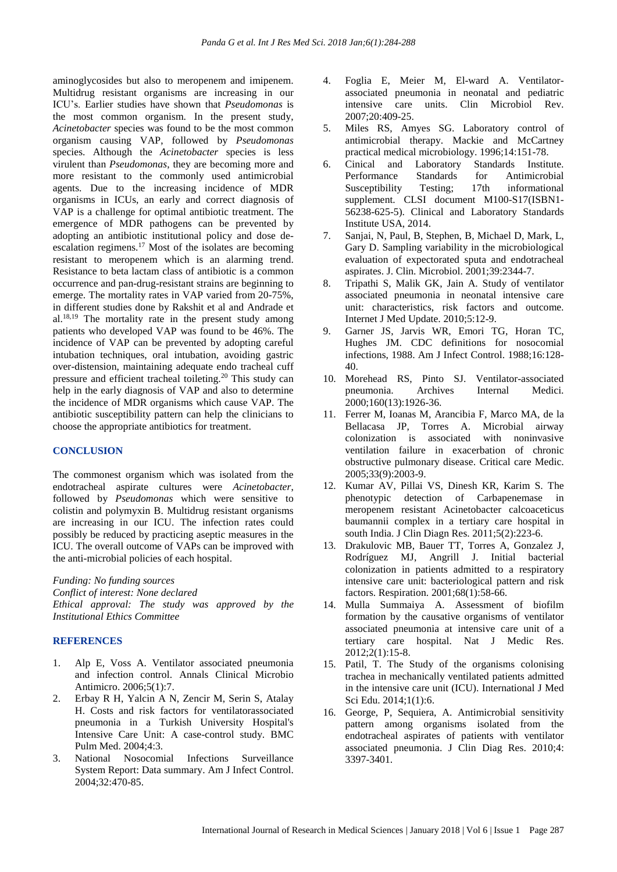aminoglycosides but also to meropenem and imipenem. Multidrug resistant organisms are increasing in our ICU's. Earlier studies have shown that *Pseudomonas* is the most common organism. In the present study, *Acinetobacter* species was found to be the most common organism causing VAP, followed by *Pseudomonas* species. Although the *Acinetobacter* species is less virulent than *Pseudomonas*, they are becoming more and more resistant to the commonly used antimicrobial agents. Due to the increasing incidence of MDR organisms in ICUs, an early and correct diagnosis of VAP is a challenge for optimal antibiotic treatment. The emergence of MDR pathogens can be prevented by adopting an antibiotic institutional policy and dose deescalation regimens.<sup>17</sup> Most of the isolates are becoming resistant to meropenem which is an alarming trend. Resistance to beta lactam class of antibiotic is a common occurrence and pan-drug-resistant strains are beginning to emerge. The mortality rates in VAP varied from 20-75%, in different studies done by Rakshit et al and Andrade et  $al.^{18,19}$  The mortality rate in the present study among patients who developed VAP was found to be 46%. The incidence of VAP can be prevented by adopting careful intubation techniques, oral intubation, avoiding gastric over-distension, maintaining adequate endo tracheal cuff pressure and efficient tracheal toileting.<sup>20</sup> This study can help in the early diagnosis of VAP and also to determine the incidence of MDR organisms which cause VAP. The antibiotic susceptibility pattern can help the clinicians to choose the appropriate antibiotics for treatment.

### **CONCLUSION**

The commonest organism which was isolated from the endotracheal aspirate cultures were *Acinetobacter*, followed by *Pseudomonas* which were sensitive to colistin and polymyxin B. Multidrug resistant organisms are increasing in our ICU. The infection rates could possibly be reduced by practicing aseptic measures in the ICU. The overall outcome of VAPs can be improved with the anti-microbial policies of each hospital.

*Funding: No funding sources*

*Conflict of interest: None declared*

*Ethical approval: The study was approved by the Institutional Ethics Committee*

# **REFERENCES**

- 1. Alp E, Voss A. Ventilator associated pneumonia and infection control. Annals Clinical Microbio Antimicro. 2006;5(1):7.
- 2. Erbay R H, Yalcin A N, Zencir M, Serin S, Atalay H. Costs and risk factors for ventilatorassociated pneumonia in a Turkish University Hospital's Intensive Care Unit: A case-control study. BMC Pulm Med. 2004;4:3.
- 3. National Nosocomial Infections Surveillance System Report: Data summary. Am J Infect Control. 2004;32:470-85.
- 4. Foglia E, Meier M, El-ward A. Ventilatorassociated pneumonia in neonatal and pediatric intensive care units. Clin Microbiol Rev. 2007;20:409-25.
- 5. Miles RS, Amyes SG. Laboratory control of antimicrobial therapy. Mackie and McCartney practical medical microbiology. 1996;14:151-78.
- 6. Cinical and Laboratory Standards Institute. Performance Standards for Antimicrobial Susceptibility Testing; 17th informational supplement. CLSI document M100-S17(ISBN1- 56238-625-5). Clinical and Laboratory Standards Institute USA, 2014.
- 7. Sanjai, N, Paul, B, Stephen, B, Michael D, Mark, L, Gary D. Sampling variability in the microbiological evaluation of expectorated sputa and endotracheal aspirates. J. Clin. Microbiol. 2001;39:2344-7.
- 8. Tripathi S, Malik GK, Jain A. Study of ventilator associated pneumonia in neonatal intensive care unit: characteristics, risk factors and outcome. Internet J Med Update. 2010;5:12-9.
- 9. Garner JS, Jarvis WR, Emori TG, Horan TC, Hughes JM. CDC definitions for nosocomial infections, 1988. Am J Infect Control. 1988;16:128- 40.
- 10. Morehead RS, Pinto SJ. Ventilator-associated pneumonia. Archives Internal Medici. 2000;160(13):1926-36.
- 11. Ferrer M, Ioanas M, Arancibia F, Marco MA, de la Bellacasa JP, Torres A. Microbial airway colonization is associated with noninvasive ventilation failure in exacerbation of chronic obstructive pulmonary disease. Critical care Medic. 2005;33(9):2003-9.
- 12. Kumar AV, Pillai VS, Dinesh KR, Karim S. The phenotypic detection of Carbapenemase in meropenem resistant Acinetobacter calcoaceticus baumannii complex in a tertiary care hospital in south India. J Clin Diagn Res. 2011;5(2):223-6.
- 13. Drakulovic MB, Bauer TT, Torres A, Gonzalez J, Rodríguez MJ, Angrill J. Initial bacterial colonization in patients admitted to a respiratory intensive care unit: bacteriological pattern and risk factors. Respiration. 2001;68(1):58-66.
- 14. Mulla Summaiya A. Assessment of biofilm formation by the causative organisms of ventilator associated pneumonia at intensive care unit of a tertiary care hospital. Nat J Medic Res. 2012;2(1):15-8.
- 15. Patil, T. The Study of the organisms colonising trachea in mechanically ventilated patients admitted in the intensive care unit (ICU). International J Med Sci Edu. 2014;1(1):6.
- 16. George, P, Sequiera, A. Antimicrobial sensitivity pattern among organisms isolated from the endotracheal aspirates of patients with ventilator associated pneumonia. J Clin Diag Res. 2010;4: 3397-3401.